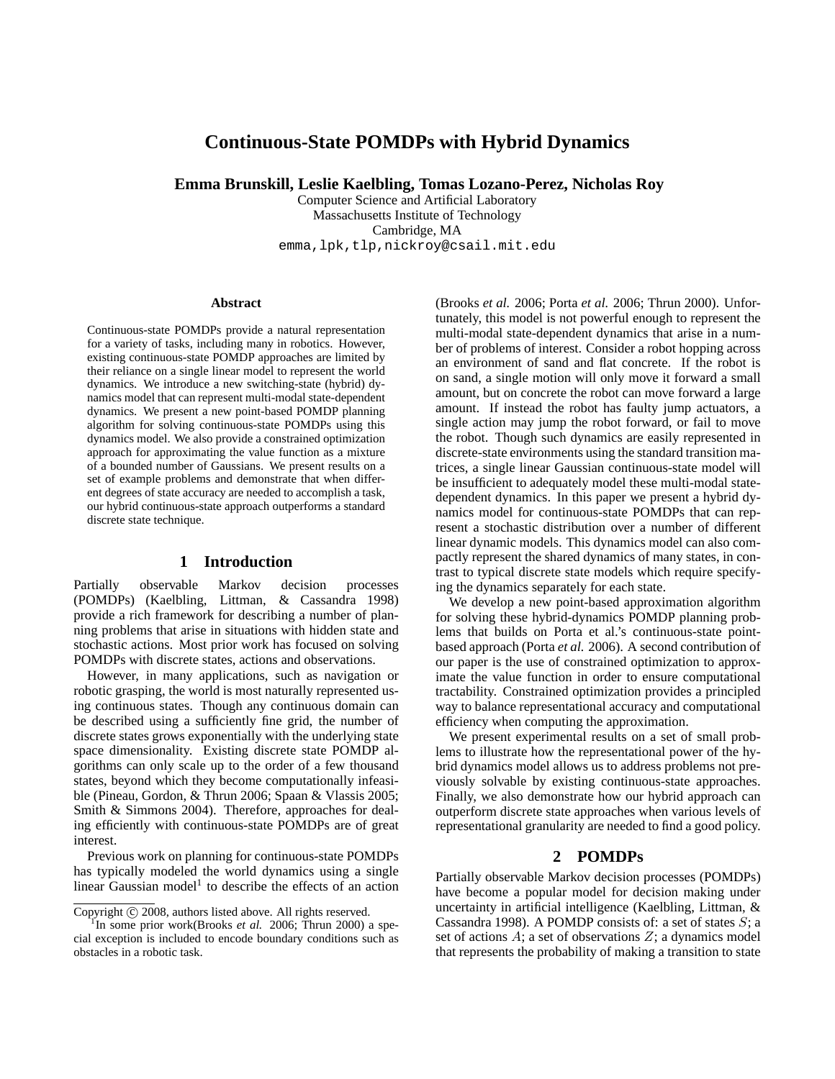# **Continuous-State POMDPs with Hybrid Dynamics**

**Emma Brunskill, Leslie Kaelbling, Tomas Lozano-Perez, Nicholas Roy**

Computer Science and Artificial Laboratory Massachusetts Institute of Technology Cambridge, MA emma,lpk,tlp,nickroy@csail.mit.edu

#### **Abstract**

Continuous-state POMDPs provide a natural representation for a variety of tasks, including many in robotics. However, existing continuous-state POMDP approaches are limited by their reliance on a single linear model to represent the world dynamics. We introduce a new switching-state (hybrid) dynamics model that can represent multi-modal state-dependent dynamics. We present a new point-based POMDP planning algorithm for solving continuous-state POMDPs using this dynamics model. We also provide a constrained optimization approach for approximating the value function as a mixture of a bounded number of Gaussians. We present results on a set of example problems and demonstrate that when different degrees of state accuracy are needed to accomplish a task, our hybrid continuous-state approach outperforms a standard discrete state technique.

## **1 Introduction**

Partially observable Markov decision processes (POMDPs) (Kaelbling, Littman, & Cassandra 1998) provide a rich framework for describing a number of planning problems that arise in situations with hidden state and stochastic actions. Most prior work has focused on solving POMDPs with discrete states, actions and observations.

However, in many applications, such as navigation or robotic grasping, the world is most naturally represented using continuous states. Though any continuous domain can be described using a sufficiently fine grid, the number of discrete states grows exponentially with the underlying state space dimensionality. Existing discrete state POMDP algorithms can only scale up to the order of a few thousand states, beyond which they become computationally infeasible (Pineau, Gordon, & Thrun 2006; Spaan & Vlassis 2005; Smith & Simmons 2004). Therefore, approaches for dealing efficiently with continuous-state POMDPs are of great interest.

Previous work on planning for continuous-state POMDPs has typically modeled the world dynamics using a single linear Gaussian model<sup>1</sup> to describe the effects of an action

(Brooks *et al.* 2006; Porta *et al.* 2006; Thrun 2000). Unfortunately, this model is not powerful enough to represent the multi-modal state-dependent dynamics that arise in a number of problems of interest. Consider a robot hopping across an environment of sand and flat concrete. If the robot is on sand, a single motion will only move it forward a small amount, but on concrete the robot can move forward a large amount. If instead the robot has faulty jump actuators, a single action may jump the robot forward, or fail to move the robot. Though such dynamics are easily represented in discrete-state environments using the standard transition matrices, a single linear Gaussian continuous-state model will be insufficient to adequately model these multi-modal statedependent dynamics. In this paper we present a hybrid dynamics model for continuous-state POMDPs that can represent a stochastic distribution over a number of different linear dynamic models. This dynamics model can also compactly represent the shared dynamics of many states, in contrast to typical discrete state models which require specifying the dynamics separately for each state.

We develop a new point-based approximation algorithm for solving these hybrid-dynamics POMDP planning problems that builds on Porta et al.'s continuous-state pointbased approach (Porta *et al.* 2006). A second contribution of our paper is the use of constrained optimization to approximate the value function in order to ensure computational tractability. Constrained optimization provides a principled way to balance representational accuracy and computational efficiency when computing the approximation.

We present experimental results on a set of small problems to illustrate how the representational power of the hybrid dynamics model allows us to address problems not previously solvable by existing continuous-state approaches. Finally, we also demonstrate how our hybrid approach can outperform discrete state approaches when various levels of representational granularity are needed to find a good policy.

## **2 POMDPs**

Partially observable Markov decision processes (POMDPs) have become a popular model for decision making under uncertainty in artificial intelligence (Kaelbling, Littman, & Cassandra 1998). A POMDP consists of: a set of states  $S$ ; a set of actions  $A$ ; a set of observations  $Z$ ; a dynamics model that represents the probability of making a transition to state

Copyright (c) 2008, authors listed above. All rights reserved.

<sup>&</sup>lt;sup>1</sup>In some prior work(Brooks et al. 2006; Thrun 2000) a special exception is included to encode boundary conditions such as obstacles in a robotic task.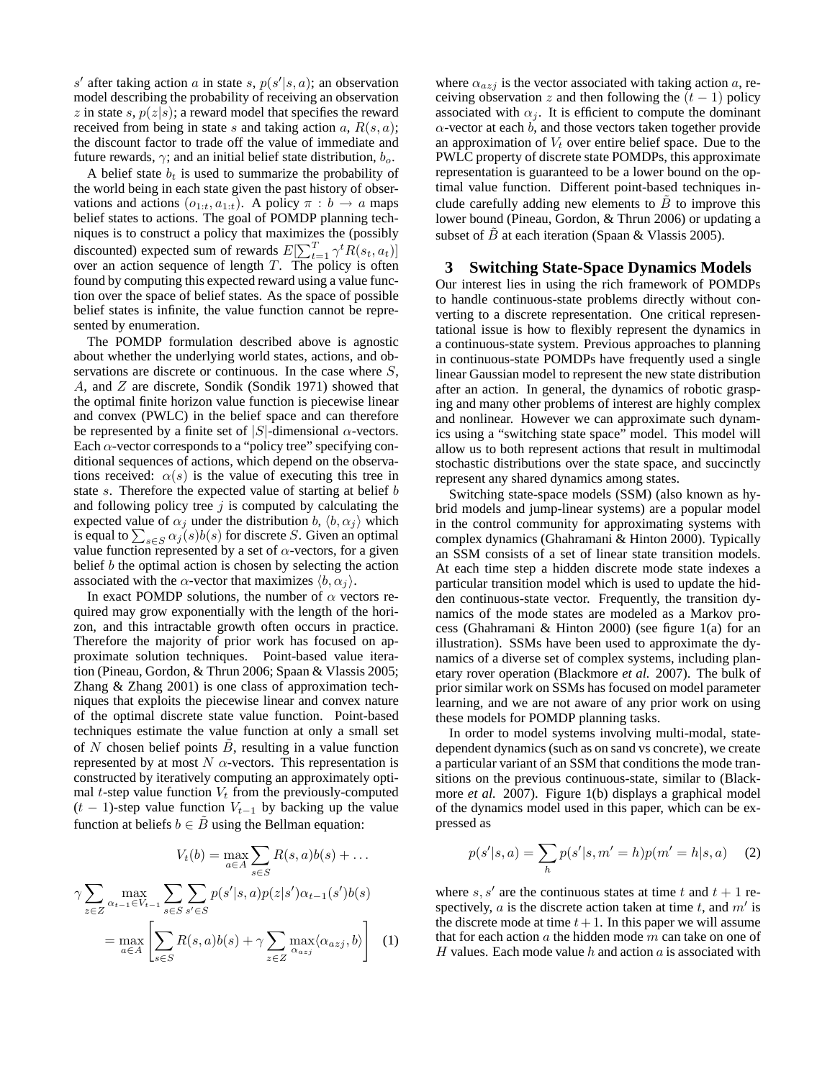s' after taking action a in state s,  $p(s'|s, a)$ ; an observation model describing the probability of receiving an observation z in state s,  $p(z|s)$ ; a reward model that specifies the reward received from being in state s and taking action  $a, R(s, a)$ ; the discount factor to trade off the value of immediate and future rewards,  $\gamma$ ; and an initial belief state distribution,  $b_{\alpha}$ .

A belief state  $b_t$  is used to summarize the probability of the world being in each state given the past history of observations and actions  $(o_{1:t}, a_{1:t})$ . A policy  $\pi : b \to a$  maps belief states to actions. The goal of POMDP planning techniques is to construct a policy that maximizes the (possibly discounted) expected sum of rewards  $E[\sum_{t=1}^{T} \gamma^t R(s_t, a_t)]$ over an action sequence of length  $T$ . The policy is often found by computing this expected reward using a value function over the space of belief states. As the space of possible belief states is infinite, the value function cannot be represented by enumeration.

The POMDP formulation described above is agnostic about whether the underlying world states, actions, and observations are discrete or continuous. In the case where  $S$ , A, and Z are discrete, Sondik (Sondik 1971) showed that the optimal finite horizon value function is piecewise linear and convex (PWLC) in the belief space and can therefore be represented by a finite set of  $|S|$ -dimensional  $\alpha$ -vectors. Each  $\alpha$ -vector corresponds to a "policy tree" specifying conditional sequences of actions, which depend on the observations received:  $\alpha(s)$  is the value of executing this tree in state s. Therefore the expected value of starting at belief b and following policy tree  $j$  is computed by calculating the expected value of  $\alpha_j$  under the distribution b,  $\langle b, \alpha_j \rangle$  which is equal to  $\sum_{s \in S} \alpha_j(s) b(s)$  for discrete S. Given an optimal value function represented by a set of  $\alpha$ -vectors, for a given belief  $b$  the optimal action is chosen by selecting the action associated with the  $\alpha$ -vector that maximizes  $\langle b, \alpha_i \rangle$ .

In exact POMDP solutions, the number of  $\alpha$  vectors required may grow exponentially with the length of the horizon, and this intractable growth often occurs in practice. Therefore the majority of prior work has focused on approximate solution techniques. Point-based value iteration (Pineau, Gordon, & Thrun 2006; Spaan & Vlassis 2005; Zhang & Zhang 2001) is one class of approximation techniques that exploits the piecewise linear and convex nature of the optimal discrete state value function. Point-based techniques estimate the value function at only a small set of N chosen belief points  $\ddot{B}$ , resulting in a value function represented by at most  $N \alpha$ -vectors. This representation is constructed by iteratively computing an approximately optimal  $t$ -step value function  $V_t$  from the previously-computed  $(t - 1)$ -step value function  $V_{t-1}$  by backing up the value function at beliefs  $b \in \tilde{B}$  using the Bellman equation:

$$
V_t(b) = \max_{a \in A} \sum_{s \in S} R(s, a)b(s) + \dots
$$

$$
\gamma \sum_{z \in Z} \max_{\alpha_{t-1} \in V_{t-1}} \sum_{s \in S} \sum_{s' \in S} p(s'|s, a)p(z|s')\alpha_{t-1}(s')b(s)
$$

$$
= \max_{a \in A} \left[ \sum_{s \in S} R(s, a)b(s) + \gamma \sum_{z \in Z} \max_{\alpha_{a}z} \langle \alpha_{a}z_j, b \rangle \right] \tag{1}
$$

where  $\alpha_{azi}$  is the vector associated with taking action a, receiving observation z and then following the  $(t - 1)$  policy associated with  $\alpha_i$ . It is efficient to compute the dominant  $\alpha$ -vector at each  $b$ , and those vectors taken together provide an approximation of  $V_t$  over entire belief space. Due to the PWLC property of discrete state POMDPs, this approximate representation is guaranteed to be a lower bound on the optimal value function. Different point-based techniques include carefully adding new elements to  $B$  to improve this lower bound (Pineau, Gordon, & Thrun 2006) or updating a subset of B at each iteration (Spaan & Vlassis 2005).

### **3 Switching State-Space Dynamics Models**

Our interest lies in using the rich framework of POMDPs to handle continuous-state problems directly without converting to a discrete representation. One critical representational issue is how to flexibly represent the dynamics in a continuous-state system. Previous approaches to planning in continuous-state POMDPs have frequently used a single linear Gaussian model to represent the new state distribution after an action. In general, the dynamics of robotic grasping and many other problems of interest are highly complex and nonlinear. However we can approximate such dynamics using a "switching state space" model. This model will allow us to both represent actions that result in multimodal stochastic distributions over the state space, and succinctly represent any shared dynamics among states.

Switching state-space models (SSM) (also known as hybrid models and jump-linear systems) are a popular model in the control community for approximating systems with complex dynamics (Ghahramani & Hinton 2000). Typically an SSM consists of a set of linear state transition models. At each time step a hidden discrete mode state indexes a particular transition model which is used to update the hidden continuous-state vector. Frequently, the transition dynamics of the mode states are modeled as a Markov process (Ghahramani & Hinton 2000) (see figure 1(a) for an illustration). SSMs have been used to approximate the dynamics of a diverse set of complex systems, including planetary rover operation (Blackmore *et al.* 2007). The bulk of prior similar work on SSMs has focused on model parameter learning, and we are not aware of any prior work on using these models for POMDP planning tasks.

In order to model systems involving multi-modal, statedependent dynamics (such as on sand vs concrete), we create a particular variant of an SSM that conditions the mode transitions on the previous continuous-state, similar to (Blackmore *et al.* 2007). Figure 1(b) displays a graphical model of the dynamics model used in this paper, which can be expressed as

$$
p(s'|s, a) = \sum_{h} p(s'|s, m' = h)p(m' = h|s, a)
$$
 (2)

where  $s, s'$  are the continuous states at time t and  $t + 1$  respectively,  $a$  is the discrete action taken at time  $t$ , and  $m'$  is the discrete mode at time  $t+1$ . In this paper we will assume that for each action  $a$  the hidden mode  $m$  can take on one of H values. Each mode value h and action  $\alpha$  is associated with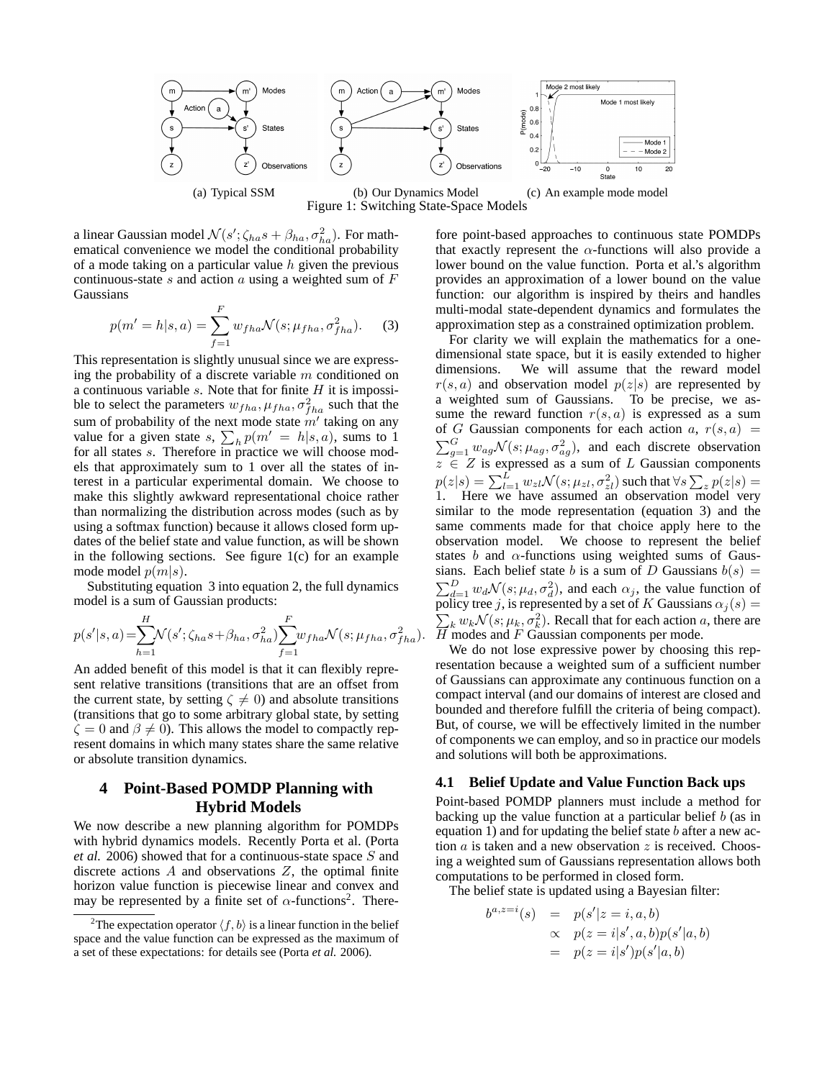

(a) Typical SSM (b) Our Dynamics Model (c) An example mode model Figure 1: Switching State-Space Models

a linear Gaussian model  $\mathcal{N}(s'; \zeta_{ha} s + \beta_{ha}, \sigma_{ha}^2)$ . For mathematical convenience we model the conditional probability of a mode taking on a particular value  $h$  given the previous continuous-state s and action a using a weighted sum of  $F$ Gaussians

$$
p(m'=h|s,a) = \sum_{f=1}^{F} w_{fha} \mathcal{N}(s; \mu_{fha}, \sigma_{fha}^2).
$$
 (3)

This representation is slightly unusual since we are expressing the probability of a discrete variable  $m$  conditioned on a continuous variable  $s$ . Note that for finite  $H$  it is impossible to select the parameters  $w_{fha}$ ,  $\mu_{fha}$ ,  $\sigma_{fha}^2$  such that the sum of probability of the next mode state  $m'$  taking on any value for a given state s,  $\sum_h p(m' = h|s, a)$ , sums to 1 for all states s. Therefore in practice we will choose models that approximately sum to 1 over all the states of interest in a particular experimental domain. We choose to make this slightly awkward representational choice rather than normalizing the distribution across modes (such as by using a softmax function) because it allows closed form updates of the belief state and value function, as will be shown in the following sections. See figure 1(c) for an example mode model  $p(m|s)$ .

Substituting equation 3 into equation 2, the full dynamics model is a sum of Gaussian products:

$$
p(s'|s,a) = \sum_{h=1}^{H} \mathcal{N}(s'; \zeta_{ha}s + \beta_{ha}, \sigma_{ha}^2) \sum_{f=1}^{F} w_{fha} \mathcal{N}(s; \mu_{fha}, \sigma_{fha}^2).
$$

An added benefit of this model is that it can flexibly represent relative transitions (transitions that are an offset from the current state, by setting  $\zeta \neq 0$ ) and absolute transitions (transitions that go to some arbitrary global state, by setting  $\zeta = 0$  and  $\beta \neq 0$ ). This allows the model to compactly represent domains in which many states share the same relative or absolute transition dynamics.

# **4 Point-Based POMDP Planning with Hybrid Models**

We now describe a new planning algorithm for POMDPs with hybrid dynamics models. Recently Porta et al. (Porta *et al.* 2006) showed that for a continuous-state space S and discrete actions  $A$  and observations  $Z$ , the optimal finite horizon value function is piecewise linear and convex and may be represented by a finite set of  $\alpha$ -functions<sup>2</sup>. Therefore point-based approaches to continuous state POMDPs that exactly represent the  $\alpha$ -functions will also provide a lower bound on the value function. Porta et al.'s algorithm provides an approximation of a lower bound on the value function: our algorithm is inspired by theirs and handles multi-modal state-dependent dynamics and formulates the approximation step as a constrained optimization problem.

For clarity we will explain the mathematics for a onedimensional state space, but it is easily extended to higher dimensions. We will assume that the reward model  $r(s, a)$  and observation model  $p(z|s)$  are represented by a weighted sum of Gaussians. To be precise, we assume the reward function  $r(s, a)$  is expressed as a sum of G Gaussian components for each action  $a, r(s, a)$  =  $\sum_{g=1}^{G} w_{ag} \mathcal{N}(s; \mu_{ag}, \sigma_{ag}^2)$ , and each discrete observation  $z \in Z$  is expressed as a sum of L Gaussian components  $p(z|s) = \sum_{l=1}^{L} w_{zl} \mathcal{N}(s; \mu_{zl}, \sigma^2_{zl})$  such that  $\forall s \sum_{z} p(z|s) =$ 1. Here we have assumed an observation model very similar to the mode representation (equation 3) and the same comments made for that choice apply here to the observation model. We choose to represent the belief states  $b$  and  $\alpha$ -functions using weighted sums of Gaussians. Each belief state b is a sum of D Gaussians  $b(s)$  =  $\sum_{d=1}^{D} w_d \mathcal{N}(s; \mu_d, \sigma_d^2)$ , and each  $\alpha_j$ , the value function of policy tree j, is represented by a set of K Gaussians  $\alpha_j(s)$  =  $\sum_{k} w_k \mathcal{N}(s; \mu_k, \sigma_k^2)$ . Recall that for each action a, there are  $\overline{H}$  modes and F Gaussian components per mode.

We do not lose expressive power by choosing this representation because a weighted sum of a sufficient number of Gaussians can approximate any continuous function on a compact interval (and our domains of interest are closed and bounded and therefore fulfill the criteria of being compact). But, of course, we will be effectively limited in the number of components we can employ, and so in practice our models and solutions will both be approximations.

#### **4.1 Belief Update and Value Function Back ups**

Point-based POMDP planners must include a method for backing up the value function at a particular belief  $b$  (as in equation 1) and for updating the belief state  $b$  after a new action  $a$  is taken and a new observation  $z$  is received. Choosing a weighted sum of Gaussians representation allows both computations to be performed in closed form.

The belief state is updated using a Bayesian filter:

$$
b^{a,z=i}(s) = p(s'|z=i, a, b)
$$
  
\n
$$
\propto p(z=i|s', a, b)p(s'|a, b)
$$
  
\n
$$
= p(z=i|s')p(s'|a, b)
$$

<sup>&</sup>lt;sup>2</sup>The expectation operator  $\langle f, b \rangle$  is a linear function in the belief space and the value function can be expressed as the maximum of a set of these expectations: for details see (Porta *et al.* 2006).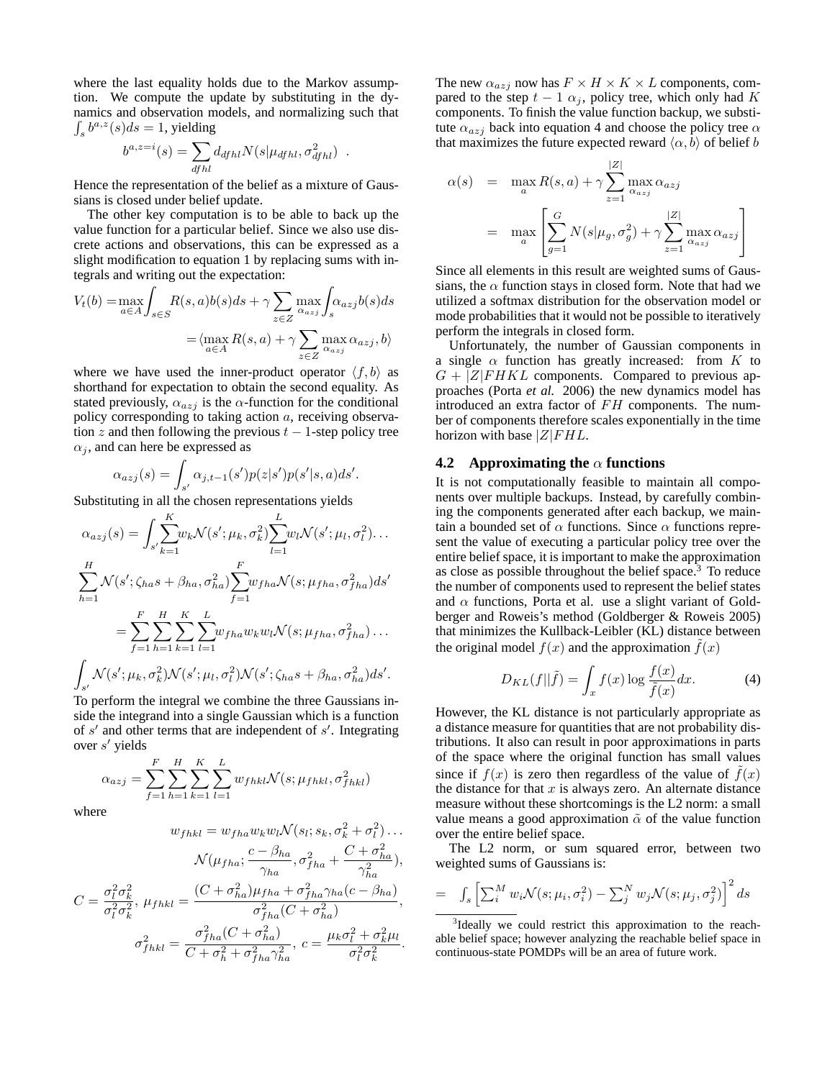where the last equality holds due to the Markov assumption. We compute the update by substituting in the dynamics and observation models, and normalizing such that  $\int_s b^{a,z}(s)ds = 1$ , yielding

$$
b^{a,z=i}(s) = \sum_{dfhl} d_{dfhl} N(s|\mu_{dfhl}, \sigma_{dfhl}^2) .
$$

Hence the representation of the belief as a mixture of Gaussians is closed under belief update.

The other key computation is to be able to back up the value function for a particular belief. Since we also use discrete actions and observations, this can be expressed as a slight modification to equation 1 by replacing sums with integrals and writing out the expectation:

$$
V_t(b) = \max_{a \in A} \int_{s \in S} R(s, a)b(s)ds + \gamma \sum_{z \in Z} \max_{\alpha_{a} \neq j} \int_s \alpha_{a}j b(s)ds
$$

$$
= \langle \max_{a \in A} R(s, a) + \gamma \sum_{z \in Z} \max_{\alpha_{a} \neq j} \alpha_{a}j, b \rangle
$$

where we have used the inner-product operator  $\langle f, b \rangle$  as shorthand for expectation to obtain the second equality. As stated previously,  $\alpha_{azj}$  is the  $\alpha$ -function for the conditional policy corresponding to taking action  $a$ , receiving observation z and then following the previous  $t - 1$ -step policy tree  $\alpha_i$ , and can here be expressed as

$$
\alpha_{azj}(s) = \int_{s'} \alpha_{j,t-1}(s')p(z|s')p(s'|s,a)ds'.
$$

Substituting in all the chosen representations yields

$$
\alpha_{azj}(s) = \int_{s'} \sum_{k=1}^{K} w_k \mathcal{N}(s'; \mu_k, \sigma_k^2) \sum_{l=1}^{L} w_l \mathcal{N}(s'; \mu_l, \sigma_l^2) \dots
$$
  

$$
\sum_{h=1}^{H} \mathcal{N}(s'; \zeta_{ha}s + \beta_{ha}, \sigma_{ha}^2) \sum_{f=1}^{F} w_{fha} \mathcal{N}(s; \mu_{fha}, \sigma_{fha}^2) ds'
$$
  

$$
= \sum_{f=1}^{F} \sum_{h=1}^{H} \sum_{k=1}^{K} \sum_{l=1}^{L} w_{fha} w_k w_l \mathcal{N}(s; \mu_{fha}, \sigma_{fha}^2) \dots
$$
  

$$
\int_{s'} \mathcal{N}(s'; \mu_k, \sigma_k^2) \mathcal{N}(s'; \mu_l, \sigma_l^2) \mathcal{N}(s'; \zeta_{ha}s + \beta_{ha}, \sigma_{ha}^2) ds'.
$$
  
To perform the integral we combine the three Gaussians in-

side the integrand into a single Gaussian which is a function of s' and other terms that are independent of s'. Integrating over s ′ yields

$$
\alpha_{azj} = \sum_{f=1}^{F} \sum_{h=1}^{H} \sum_{k=1}^{K} \sum_{l=1}^{L} w_{fhkl} \mathcal{N}(s; \mu_{fhkl}, \sigma_{fhkl}^2)
$$

where

$$
w_{f h k l} = w_{f h a} w_{k} w_{l} \mathcal{N}(s_{l}; s_{k}, \sigma_{k}^{2} + \sigma_{l}^{2}) \dots
$$

$$
\mathcal{N}(\mu_{f h a}; \frac{c - \beta_{h a}}{\gamma_{h a}}, \sigma_{f h a}^{2} + \frac{C + \sigma_{h a}^{2}}{\gamma_{h a}^{2}}),
$$

$$
C = \frac{\sigma_{l}^{2} \sigma_{k}^{2}}{\sigma_{l}^{2} \sigma_{k}^{2}}, \mu_{f h k l} = \frac{(C + \sigma_{h a}^{2}) \mu_{f h a} + \sigma_{f h a}^{2} \gamma_{h a} (c - \beta_{h a})}{\sigma_{f h a}^{2} (C + \sigma_{h a}^{2})},
$$

$$
\sigma_{f h k l}^{2} = \frac{\sigma_{f h a}^{2} (C + \sigma_{h a}^{2})}{C + \sigma_{h}^{2} + \sigma_{f h a}^{2} \gamma_{h a}^{2}}, \ c = \frac{\mu_{k} \sigma_{l}^{2} + \sigma_{k}^{2} \mu_{l}}{\sigma_{l}^{2} \sigma_{k}^{2}}.
$$

The new  $\alpha_{azj}$  now has  $F \times H \times K \times L$  components, compared to the step  $t - 1 \alpha_i$ , policy tree, which only had K components. To finish the value function backup, we substitute  $\alpha_{azj}$  back into equation 4 and choose the policy tree  $\alpha$ that maximizes the future expected reward  $\langle \alpha, b \rangle$  of belief b

$$
\alpha(s) = \max_{a} R(s, a) + \gamma \sum_{z=1}^{|Z|} \max_{\alpha_{a z j}} \alpha_{a z j}
$$

$$
= \max_{a} \left[ \sum_{g=1}^{G} N(s | \mu_g, \sigma_g^2) + \gamma \sum_{z=1}^{|Z|} \max_{\alpha_{a z j}} \alpha_{a z j} \right]
$$

Since all elements in this result are weighted sums of Gaussians, the  $\alpha$  function stays in closed form. Note that had we utilized a softmax distribution for the observation model or mode probabilities that it would not be possible to iteratively perform the integrals in closed form.

Unfortunately, the number of Gaussian components in a single  $\alpha$  function has greatly increased: from K to  $G + |Z|$  FHKL components. Compared to previous approaches (Porta *et al.* 2006) the new dynamics model has introduced an extra factor of  $FH$  components. The number of components therefore scales exponentially in the time horizon with base  $|Z|F H L$ .

#### **4.2 Approximating the** α **functions**

It is not computationally feasible to maintain all components over multiple backups. Instead, by carefully combining the components generated after each backup, we maintain a bounded set of  $\alpha$  functions. Since  $\alpha$  functions represent the value of executing a particular policy tree over the entire belief space, it is important to make the approximation as close as possible throughout the belief space.<sup>3</sup> To reduce the number of components used to represent the belief states and  $\alpha$  functions, Porta et al. use a slight variant of Goldberger and Roweis's method (Goldberger & Roweis 2005) that minimizes the Kullback-Leibler (KL) distance between the original model  $f(x)$  and the approximation  $\hat{f}(x)$ 

$$
D_{KL}(f||\tilde{f}) = \int_x f(x) \log \frac{f(x)}{\tilde{f}(x)} dx.
$$
 (4)

However, the KL distance is not particularly appropriate as a distance measure for quantities that are not probability distributions. It also can result in poor approximations in parts of the space where the original function has small values since if  $f(x)$  is zero then regardless of the value of  $f(x)$ the distance for that  $x$  is always zero. An alternate distance measure without these shortcomings is the L2 norm: a small value means a good approximation  $\tilde{\alpha}$  of the value function over the entire belief space.

The L2 norm, or sum squared error, between two weighted sums of Gaussians is:

$$
= \int_{s} \left[ \sum_{i}^{M} w_{i} \mathcal{N}(s; \mu_{i}, \sigma_{i}^{2}) - \sum_{j}^{N} w_{j} \mathcal{N}(s; \mu_{j}, \sigma_{j}^{2}) \right]^{2} ds
$$

<sup>3</sup>Ideally we could restrict this approximation to the reachable belief space; however analyzing the reachable belief space in continuous-state POMDPs will be an area of future work.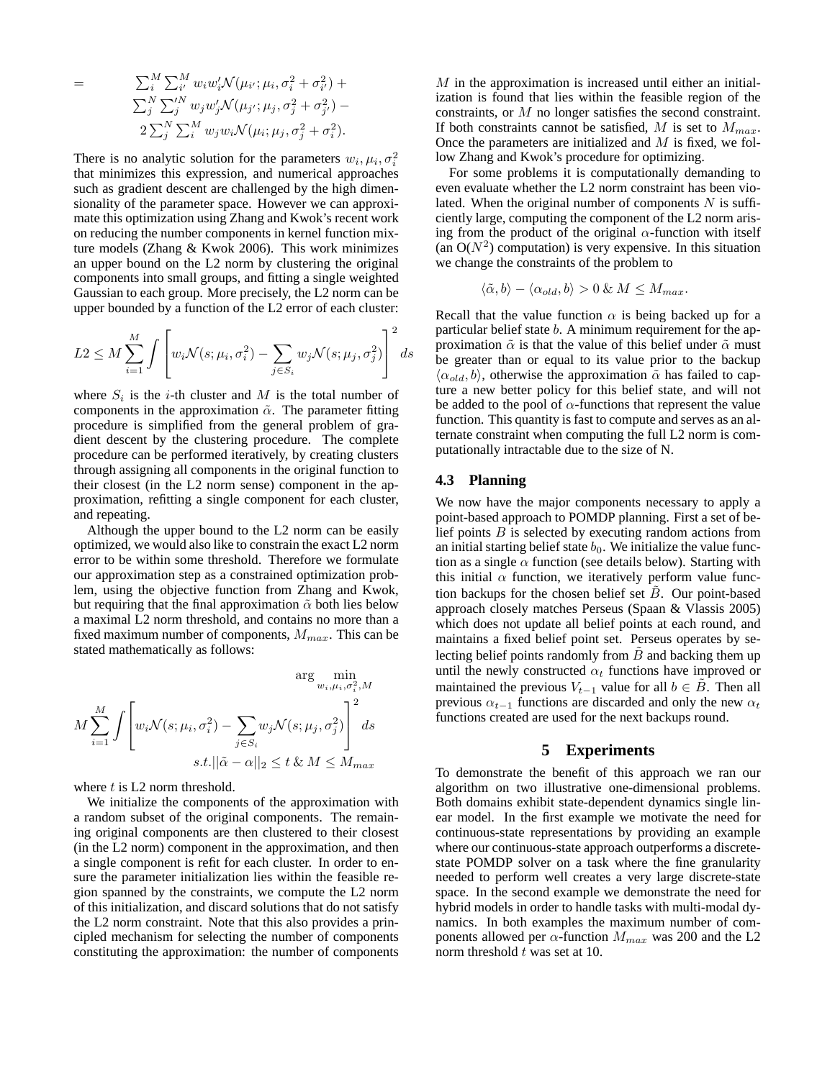$$
= \sum_{i}^{M} \sum_{i'}^{M} w_{i} w'_{i} \mathcal{N}(\mu_{i'}, \mu_{i}, \sigma_{i}^{2} + \sigma_{i'}^{2}) +
$$
  

$$
\sum_{j}^{N} \sum_{j'}^{N} w_{j} w'_{j} \mathcal{N}(\mu_{j'}, \mu_{j}, \sigma_{j}^{2} + \sigma_{j'}^{2}) -
$$
  

$$
2 \sum_{j}^{N} \sum_{i}^{M} w_{j} w_{i} \mathcal{N}(\mu_{i}; \mu_{j}, \sigma_{j}^{2} + \sigma_{i}^{2}).
$$

There is no analytic solution for the parameters  $w_i, \mu_i, \sigma_i^2$ that minimizes this expression, and numerical approaches such as gradient descent are challenged by the high dimensionality of the parameter space. However we can approximate this optimization using Zhang and Kwok's recent work on reducing the number components in kernel function mixture models (Zhang & Kwok 2006). This work minimizes an upper bound on the L2 norm by clustering the original components into small groups, and fitting a single weighted Gaussian to each group. More precisely, the L2 norm can be upper bounded by a function of the L2 error of each cluster:

$$
L2 \le M \sum_{i=1}^{M} \int \left[ w_i \mathcal{N}(s; \mu_i, \sigma_i^2) - \sum_{j \in S_i} w_j \mathcal{N}(s; \mu_j, \sigma_j^2) \right]^2 ds
$$

where  $S_i$  is the *i*-th cluster and M is the total number of components in the approximation  $\tilde{\alpha}$ . The parameter fitting procedure is simplified from the general problem of gradient descent by the clustering procedure. The complete procedure can be performed iteratively, by creating clusters through assigning all components in the original function to their closest (in the L2 norm sense) component in the approximation, refitting a single component for each cluster, and repeating.

Although the upper bound to the L2 norm can be easily optimized, we would also like to constrain the exact L2 norm error to be within some threshold. Therefore we formulate our approximation step as a constrained optimization problem, using the objective function from Zhang and Kwok, but requiring that the final approximation  $\tilde{\alpha}$  both lies below a maximal L2 norm threshold, and contains no more than a fixed maximum number of components,  $M_{max}$ . This can be stated mathematically as follows:

$$
\arg\min_{w_i, \mu_i, \sigma_i^2, M}
$$

$$
M \sum_{i=1}^{M} \int \left[ w_i \mathcal{N}(s; \mu_i, \sigma_i^2) - \sum_{j \in S_i} w_j \mathcal{N}(s; \mu_j, \sigma_j^2) \right]^2 ds
$$

$$
s.t. ||\tilde{\alpha} - \alpha||_2 \le t \& M \le M_{max}
$$

where  $t$  is  $L2$  norm threshold.

We initialize the components of the approximation with a random subset of the original components. The remaining original components are then clustered to their closest (in the L2 norm) component in the approximation, and then a single component is refit for each cluster. In order to ensure the parameter initialization lies within the feasible region spanned by the constraints, we compute the L2 norm of this initialization, and discard solutions that do not satisfy the L2 norm constraint. Note that this also provides a principled mechanism for selecting the number of components constituting the approximation: the number of components

 $M$  in the approximation is increased until either an initialization is found that lies within the feasible region of the constraints, or M no longer satisfies the second constraint. If both constraints cannot be satisfied, M is set to  $M_{max}$ . Once the parameters are initialized and  $M$  is fixed, we follow Zhang and Kwok's procedure for optimizing.

For some problems it is computationally demanding to even evaluate whether the L2 norm constraint has been violated. When the original number of components  $N$  is sufficiently large, computing the component of the L2 norm arising from the product of the original  $\alpha$ -function with itself (an  $O(N^2)$  computation) is very expensive. In this situation we change the constraints of the problem to

$$
\langle \tilde{\alpha}, b \rangle - \langle \alpha_{old}, b \rangle > 0 \& M \le M_{max}.
$$

Recall that the value function  $\alpha$  is being backed up for a particular belief state b. A minimum requirement for the approximation  $\tilde{\alpha}$  is that the value of this belief under  $\tilde{\alpha}$  must be greater than or equal to its value prior to the backup  $\langle \alpha_{old}, b \rangle$ , otherwise the approximation  $\tilde{\alpha}$  has failed to capture a new better policy for this belief state, and will not be added to the pool of  $\alpha$ -functions that represent the value function. This quantity is fast to compute and serves as an alternate constraint when computing the full L2 norm is computationally intractable due to the size of N.

### **4.3 Planning**

We now have the major components necessary to apply a point-based approach to POMDP planning. First a set of belief points  $B$  is selected by executing random actions from an initial starting belief state  $b_0$ . We initialize the value function as a single  $\alpha$  function (see details below). Starting with this initial  $\alpha$  function, we iteratively perform value function backups for the chosen belief set  $B$ . Our point-based approach closely matches Perseus (Spaan & Vlassis 2005) which does not update all belief points at each round, and maintains a fixed belief point set. Perseus operates by selecting belief points randomly from  $B$  and backing them up until the newly constructed  $\alpha_t$  functions have improved or maintained the previous  $V_{t-1}$  value for all  $b \in B$ . Then all previous  $\alpha_{t-1}$  functions are discarded and only the new  $\alpha_t$ functions created are used for the next backups round.

## **5 Experiments**

To demonstrate the benefit of this approach we ran our algorithm on two illustrative one-dimensional problems. Both domains exhibit state-dependent dynamics single linear model. In the first example we motivate the need for continuous-state representations by providing an example where our continuous-state approach outperforms a discretestate POMDP solver on a task where the fine granularity needed to perform well creates a very large discrete-state space. In the second example we demonstrate the need for hybrid models in order to handle tasks with multi-modal dynamics. In both examples the maximum number of components allowed per  $\alpha$ -function  $M_{max}$  was 200 and the L2 norm threshold t was set at 10.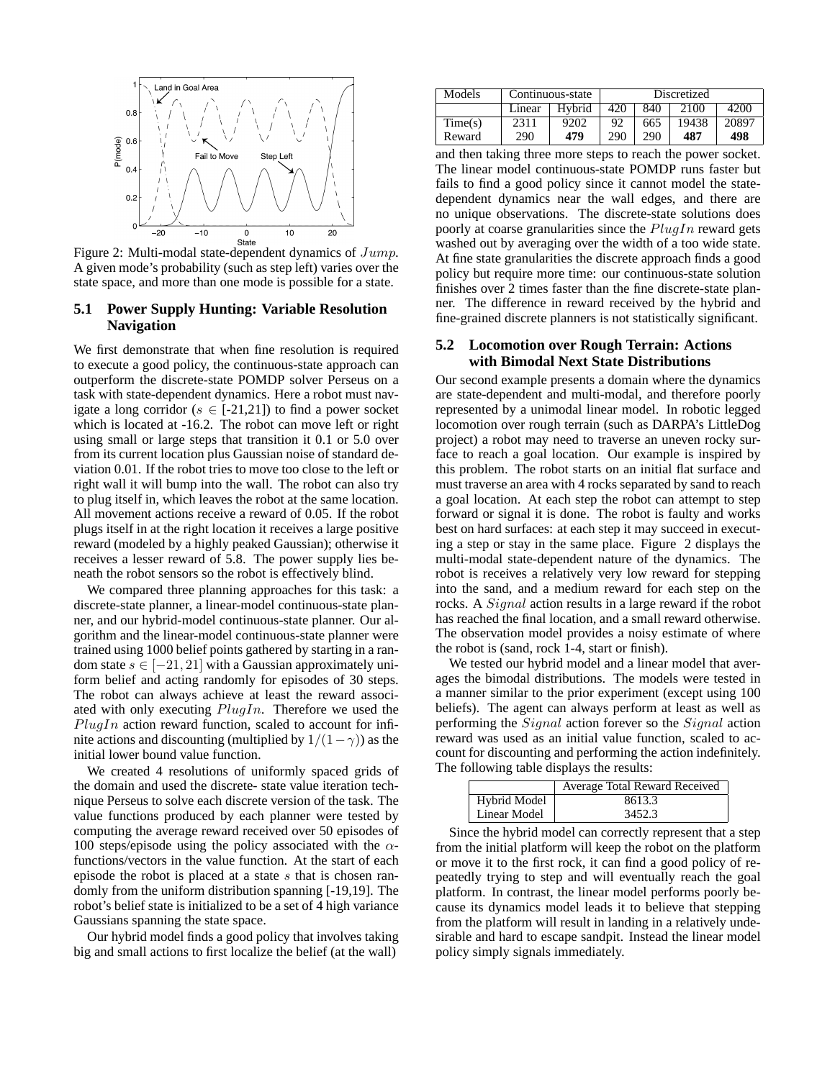

Figure 2: Multi-modal state-dependent dynamics of Jump. A given mode's probability (such as step left) varies over the state space, and more than one mode is possible for a state.

## **5.1 Power Supply Hunting: Variable Resolution Navigation**

We first demonstrate that when fine resolution is required to execute a good policy, the continuous-state approach can outperform the discrete-state POMDP solver Perseus on a task with state-dependent dynamics. Here a robot must navigate a long corridor ( $s \in [-21,21]$ ) to find a power socket which is located at -16.2. The robot can move left or right using small or large steps that transition it 0.1 or 5.0 over from its current location plus Gaussian noise of standard deviation 0.01. If the robot tries to move too close to the left or right wall it will bump into the wall. The robot can also try to plug itself in, which leaves the robot at the same location. All movement actions receive a reward of 0.05. If the robot plugs itself in at the right location it receives a large positive reward (modeled by a highly peaked Gaussian); otherwise it receives a lesser reward of 5.8. The power supply lies beneath the robot sensors so the robot is effectively blind.

We compared three planning approaches for this task: a discrete-state planner, a linear-model continuous-state planner, and our hybrid-model continuous-state planner. Our algorithm and the linear-model continuous-state planner were trained using 1000 belief points gathered by starting in a random state  $s \in [-21, 21]$  with a Gaussian approximately uniform belief and acting randomly for episodes of 30 steps. The robot can always achieve at least the reward associated with only executing  $PlugIn$ . Therefore we used the  $Plughn$  action reward function, scaled to account for infinite actions and discounting (multiplied by  $1/(1-\gamma)$ ) as the initial lower bound value function.

We created 4 resolutions of uniformly spaced grids of the domain and used the discrete- state value iteration technique Perseus to solve each discrete version of the task. The value functions produced by each planner were tested by computing the average reward received over 50 episodes of 100 steps/episode using the policy associated with the  $\alpha$ functions/vectors in the value function. At the start of each episode the robot is placed at a state s that is chosen randomly from the uniform distribution spanning [-19,19]. The robot's belief state is initialized to be a set of 4 high variance Gaussians spanning the state space.

Our hybrid model finds a good policy that involves taking big and small actions to first localize the belief (at the wall)

| Models  | Continuous-state |        | Discretized |     |       |       |
|---------|------------------|--------|-------------|-----|-------|-------|
|         | Linear           | Hybrid | 420         | 840 | 2100  | 4200  |
| Time(s) | 2311             | 9202   | 92          | 665 | 19438 | 20897 |
| Reward  | 290              | 479    | 290         | 290 | 487   | 498   |

and then taking three more steps to reach the power socket. The linear model continuous-state POMDP runs faster but fails to find a good policy since it cannot model the statedependent dynamics near the wall edges, and there are no unique observations. The discrete-state solutions does poorly at coarse granularities since the  $PlugIn$  reward gets washed out by averaging over the width of a too wide state. At fine state granularities the discrete approach finds a good policy but require more time: our continuous-state solution finishes over 2 times faster than the fine discrete-state planner. The difference in reward received by the hybrid and fine-grained discrete planners is not statistically significant.

## **5.2 Locomotion over Rough Terrain: Actions with Bimodal Next State Distributions**

Our second example presents a domain where the dynamics are state-dependent and multi-modal, and therefore poorly represented by a unimodal linear model. In robotic legged locomotion over rough terrain (such as DARPA's LittleDog project) a robot may need to traverse an uneven rocky surface to reach a goal location. Our example is inspired by this problem. The robot starts on an initial flat surface and must traverse an area with 4 rocks separated by sand to reach a goal location. At each step the robot can attempt to step forward or signal it is done. The robot is faulty and works best on hard surfaces: at each step it may succeed in executing a step or stay in the same place. Figure 2 displays the multi-modal state-dependent nature of the dynamics. The robot is receives a relatively very low reward for stepping into the sand, and a medium reward for each step on the rocks. A *Signal* action results in a large reward if the robot has reached the final location, and a small reward otherwise. The observation model provides a noisy estimate of where the robot is (sand, rock 1-4, start or finish).

We tested our hybrid model and a linear model that averages the bimodal distributions. The models were tested in a manner similar to the prior experiment (except using 100 beliefs). The agent can always perform at least as well as performing the Signal action forever so the Signal action reward was used as an initial value function, scaled to account for discounting and performing the action indefinitely. The following table displays the results:

|              | Average Total Reward Received |
|--------------|-------------------------------|
| Hybrid Model | 8613.3                        |
| Linear Model | 3452.3                        |

Since the hybrid model can correctly represent that a step from the initial platform will keep the robot on the platform or move it to the first rock, it can find a good policy of repeatedly trying to step and will eventually reach the goal platform. In contrast, the linear model performs poorly because its dynamics model leads it to believe that stepping from the platform will result in landing in a relatively undesirable and hard to escape sandpit. Instead the linear model policy simply signals immediately.